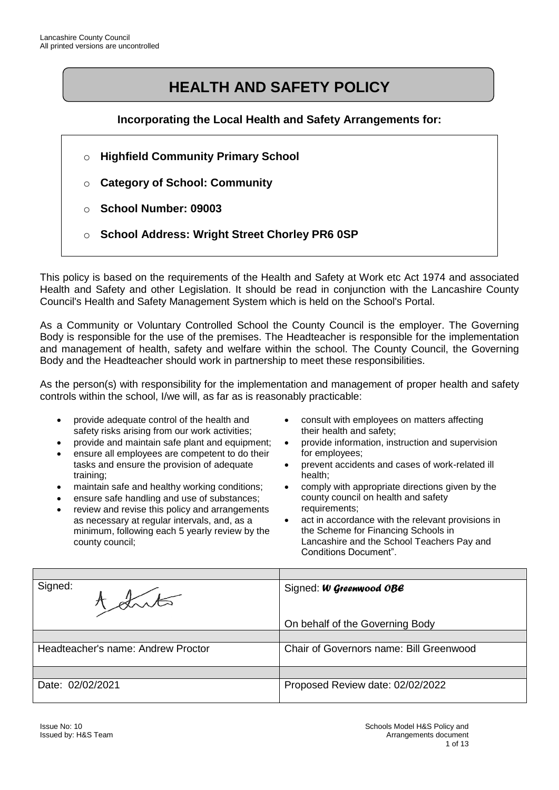# **HEALTH AND SAFETY POLICY**

#### **Incorporating the Local Health and Safety Arrangements for:**

- o **Highfield Community Primary School**
- o **Category of School: Community**
- o **School Number: 09003**
- o **School Address: Wright Street Chorley PR6 0SP**

This policy is based on the requirements of the Health and Safety at Work etc Act 1974 and associated Health and Safety and other Legislation. It should be read in conjunction with the Lancashire County Council's Health and Safety Management System which is held on the School's Portal.

As a Community or Voluntary Controlled School the County Council is the employer. The Governing Body is responsible for the use of the premises. The Headteacher is responsible for the implementation and management of health, safety and welfare within the school. The County Council, the Governing Body and the Headteacher should work in partnership to meet these responsibilities.

As the person(s) with responsibility for the implementation and management of proper health and safety controls within the school, I/we will, as far as is reasonably practicable:

- provide adequate control of the health and safety risks arising from our work activities;
- provide and maintain safe plant and equipment;
- ensure all employees are competent to do their tasks and ensure the provision of adequate training;
- maintain safe and healthy working conditions;
- ensure safe handling and use of substances;
- review and revise this policy and arrangements as necessary at regular intervals, and, as a minimum, following each 5 yearly review by the county council;
- consult with employees on matters affecting their health and safety;
- provide information, instruction and supervision for employees;
- prevent accidents and cases of work-related ill health;
- comply with appropriate directions given by the county council on health and safety requirements;
- act in accordance with the relevant provisions in the Scheme for Financing Schools in Lancashire and the School Teachers Pay and Conditions Document".

| Signed:<br>Sunts                   | Signed: W Greenwood OBE                        |
|------------------------------------|------------------------------------------------|
|                                    | On behalf of the Governing Body                |
|                                    |                                                |
| Headteacher's name: Andrew Proctor | <b>Chair of Governors name: Bill Greenwood</b> |
|                                    |                                                |
| Date: 02/02/2021                   | Proposed Review date: 02/02/2022               |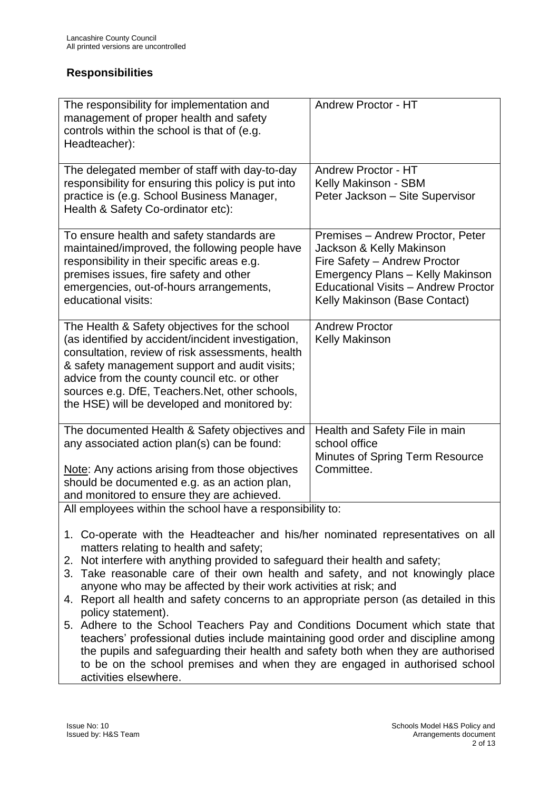#### **Responsibilities**

| The responsibility for implementation and<br>management of proper health and safety<br>controls within the school is that of (e.g.<br>Headteacher):                                                                                                                                                                                                                                                                                                                                                                                            | <b>Andrew Proctor - HT</b>                                                                                                                                                                                             |
|------------------------------------------------------------------------------------------------------------------------------------------------------------------------------------------------------------------------------------------------------------------------------------------------------------------------------------------------------------------------------------------------------------------------------------------------------------------------------------------------------------------------------------------------|------------------------------------------------------------------------------------------------------------------------------------------------------------------------------------------------------------------------|
| The delegated member of staff with day-to-day<br>responsibility for ensuring this policy is put into<br>practice is (e.g. School Business Manager,<br>Health & Safety Co-ordinator etc):                                                                                                                                                                                                                                                                                                                                                       | <b>Andrew Proctor - HT</b><br>Kelly Makinson - SBM<br>Peter Jackson - Site Supervisor                                                                                                                                  |
| To ensure health and safety standards are<br>maintained/improved, the following people have<br>responsibility in their specific areas e.g.<br>premises issues, fire safety and other<br>emergencies, out-of-hours arrangements,<br>educational visits:                                                                                                                                                                                                                                                                                         | Premises - Andrew Proctor, Peter<br>Jackson & Kelly Makinson<br>Fire Safety - Andrew Proctor<br><b>Emergency Plans - Kelly Makinson</b><br><b>Educational Visits - Andrew Proctor</b><br>Kelly Makinson (Base Contact) |
| The Health & Safety objectives for the school<br>(as identified by accident/incident investigation,<br>consultation, review of risk assessments, health<br>& safety management support and audit visits;<br>advice from the county council etc. or other<br>sources e.g. DfE, Teachers. Net, other schools,<br>the HSE) will be developed and monitored by:                                                                                                                                                                                    | <b>Andrew Proctor</b><br><b>Kelly Makinson</b>                                                                                                                                                                         |
| The documented Health & Safety objectives and<br>any associated action plan(s) can be found:<br>Note: Any actions arising from those objectives<br>should be documented e.g. as an action plan,<br>and monitored to ensure they are achieved.                                                                                                                                                                                                                                                                                                  | Health and Safety File in main<br>school office<br>Minutes of Spring Term Resource<br>Committee.                                                                                                                       |
| All employees within the school have a responsibility to:<br>1. Co-operate with the Headteacher and his/her nominated representatives on all<br>matters relating to health and safety;<br>2. Not interfere with anything provided to safeguard their health and safety;<br>3. Take reasonable care of their own health and safety, and not knowingly place<br>anyone who may be affected by their work activities at risk; and<br>4. Report all health and safety concerns to an appropriate person (as detailed in this<br>policy statement). |                                                                                                                                                                                                                        |
|                                                                                                                                                                                                                                                                                                                                                                                                                                                                                                                                                |                                                                                                                                                                                                                        |

5. Adhere to the School Teachers Pay and Conditions Document which state that teachers' professional duties include maintaining good order and discipline among the pupils and safeguarding their health and safety both when they are authorised to be on the school premises and when they are engaged in authorised school activities elsewhere.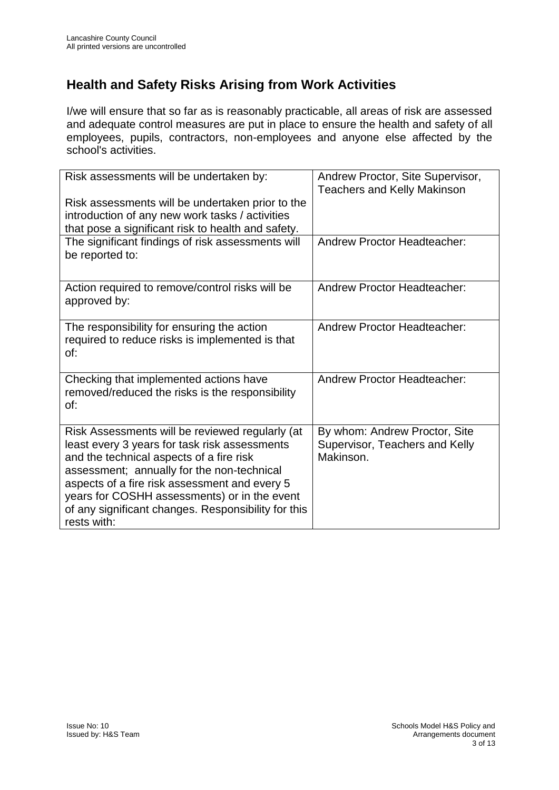## **Health and Safety Risks Arising from Work Activities**

I/we will ensure that so far as is reasonably practicable, all areas of risk are assessed and adequate control measures are put in place to ensure the health and safety of all employees, pupils, contractors, non-employees and anyone else affected by the school's activities.

| Risk assessments will be undertaken by:                                                       | Andrew Proctor, Site Supervisor,<br><b>Teachers and Kelly Makinson</b> |
|-----------------------------------------------------------------------------------------------|------------------------------------------------------------------------|
| Risk assessments will be undertaken prior to the                                              |                                                                        |
| introduction of any new work tasks / activities                                               |                                                                        |
| that pose a significant risk to health and safety.                                            |                                                                        |
| The significant findings of risk assessments will                                             | <b>Andrew Proctor Headteacher:</b>                                     |
| be reported to:                                                                               |                                                                        |
|                                                                                               |                                                                        |
| Action required to remove/control risks will be                                               | <b>Andrew Proctor Headteacher:</b>                                     |
| approved by:                                                                                  |                                                                        |
|                                                                                               |                                                                        |
| The responsibility for ensuring the action                                                    | <b>Andrew Proctor Headteacher:</b>                                     |
| required to reduce risks is implemented is that<br>of:                                        |                                                                        |
|                                                                                               |                                                                        |
| Checking that implemented actions have                                                        | <b>Andrew Proctor Headteacher:</b>                                     |
| removed/reduced the risks is the responsibility                                               |                                                                        |
| of:                                                                                           |                                                                        |
|                                                                                               |                                                                        |
| Risk Assessments will be reviewed regularly (at                                               | By whom: Andrew Proctor, Site                                          |
| least every 3 years for task risk assessments                                                 | Supervisor, Teachers and Kelly                                         |
| and the technical aspects of a fire risk                                                      | Makinson.                                                              |
| assessment; annually for the non-technical                                                    |                                                                        |
| aspects of a fire risk assessment and every 5<br>years for COSHH assessments) or in the event |                                                                        |
| of any significant changes. Responsibility for this                                           |                                                                        |
| rests with:                                                                                   |                                                                        |
|                                                                                               |                                                                        |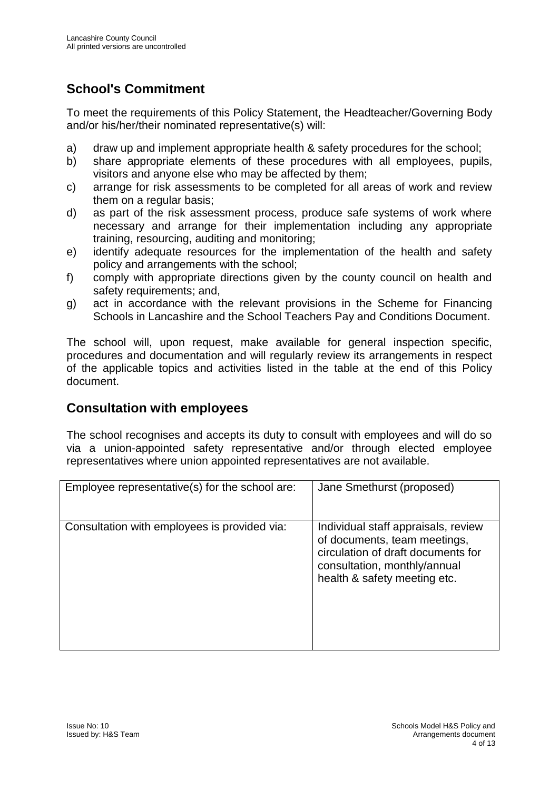## **School's Commitment**

To meet the requirements of this Policy Statement, the Headteacher/Governing Body and/or his/her/their nominated representative(s) will:

- a) draw up and implement appropriate health & safety procedures for the school;
- b) share appropriate elements of these procedures with all employees, pupils, visitors and anyone else who may be affected by them;
- c) arrange for risk assessments to be completed for all areas of work and review them on a regular basis;
- d) as part of the risk assessment process, produce safe systems of work where necessary and arrange for their implementation including any appropriate training, resourcing, auditing and monitoring;
- e) identify adequate resources for the implementation of the health and safety policy and arrangements with the school;
- f) comply with appropriate directions given by the county council on health and safety requirements; and,
- g) act in accordance with the relevant provisions in the Scheme for Financing Schools in Lancashire and the School Teachers Pay and Conditions Document.

The school will, upon request, make available for general inspection specific, procedures and documentation and will regularly review its arrangements in respect of the applicable topics and activities listed in the table at the end of this Policy document.

### **Consultation with employees**

The school recognises and accepts its duty to consult with employees and will do so via a union-appointed safety representative and/or through elected employee representatives where union appointed representatives are not available.

| Employee representative(s) for the school are: | Jane Smethurst (proposed)                                                                                                                                                 |
|------------------------------------------------|---------------------------------------------------------------------------------------------------------------------------------------------------------------------------|
| Consultation with employees is provided via:   | Individual staff appraisals, review<br>of documents, team meetings,<br>circulation of draft documents for<br>consultation, monthly/annual<br>health & safety meeting etc. |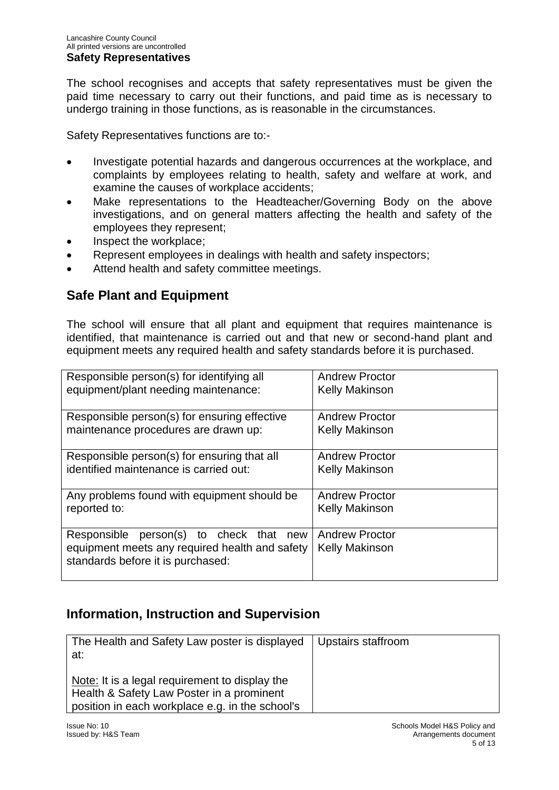The school recognises and accepts that safety representatives must be given the paid time necessary to carry out their functions, and paid time as is necessary to undergo training in those functions, as is reasonable in the circumstances.

Safety Representatives functions are to:-

- Investigate potential hazards and dangerous occurrences at the workplace, and complaints by employees relating to health, safety and welfare at work, and examine the causes of workplace accidents;
- Make representations to the Headteacher/Governing Body on the above investigations, and on general matters affecting the health and safety of the employees they represent;
- Inspect the workplace;
- Represent employees in dealings with health and safety inspectors;
- Attend health and safety committee meetings.

### **Safe Plant and Equipment**

The school will ensure that all plant and equipment that requires maintenance is identified, that maintenance is carried out and that new or second-hand plant and equipment meets any required health and safety standards before it is purchased.

| Responsible person(s) for identifying all                                                                                      | <b>Andrew Proctor</b>                          |
|--------------------------------------------------------------------------------------------------------------------------------|------------------------------------------------|
| equipment/plant needing maintenance:                                                                                           | <b>Kelly Makinson</b>                          |
| Responsible person(s) for ensuring effective                                                                                   | <b>Andrew Proctor</b>                          |
| maintenance procedures are drawn up:                                                                                           | <b>Kelly Makinson</b>                          |
| Responsible person(s) for ensuring that all                                                                                    | <b>Andrew Proctor</b>                          |
| identified maintenance is carried out:                                                                                         | <b>Kelly Makinson</b>                          |
| Any problems found with equipment should be                                                                                    | <b>Andrew Proctor</b>                          |
| reported to:                                                                                                                   | <b>Kelly Makinson</b>                          |
| Responsible person(s) to check that new<br>equipment meets any required health and safety<br>standards before it is purchased: | <b>Andrew Proctor</b><br><b>Kelly Makinson</b> |

### **Information, Instruction and Supervision**

| The Health and Safety Law poster is displayed<br>at:                                                                                           | Upstairs staffroom |
|------------------------------------------------------------------------------------------------------------------------------------------------|--------------------|
| Note: It is a legal requirement to display the<br>Health & Safety Law Poster in a prominent<br>position in each workplace e.g. in the school's |                    |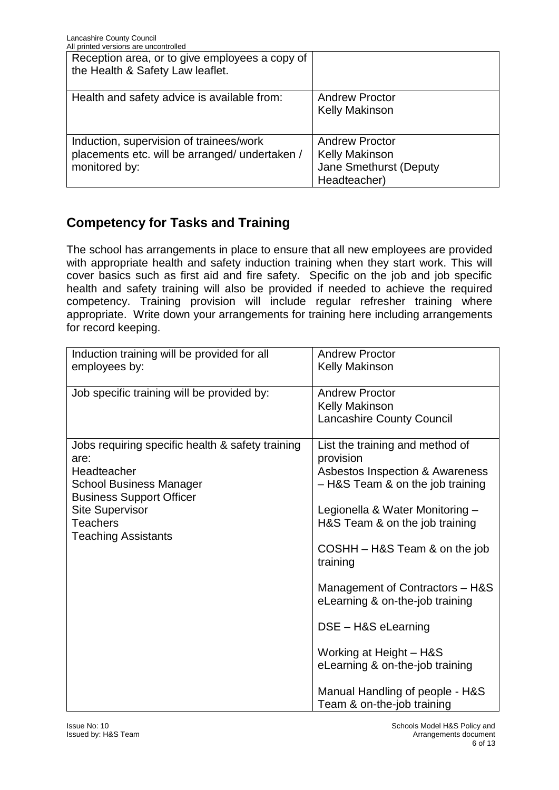| All printed versions are uncontrolled                                                                      |                                                                                          |
|------------------------------------------------------------------------------------------------------------|------------------------------------------------------------------------------------------|
| Reception area, or to give employees a copy of<br>the Health & Safety Law leaflet.                         |                                                                                          |
| Health and safety advice is available from:                                                                | <b>Andrew Proctor</b><br><b>Kelly Makinson</b>                                           |
| Induction, supervision of trainees/work<br>placements etc. will be arranged/ undertaken /<br>monitored by: | <b>Andrew Proctor</b><br><b>Kelly Makinson</b><br>Jane Smethurst (Deputy<br>Headteacher) |

### **Competency for Tasks and Training**

The school has arrangements in place to ensure that all new employees are provided with appropriate health and safety induction training when they start work. This will cover basics such as first aid and fire safety. Specific on the job and job specific health and safety training will also be provided if needed to achieve the required competency. Training provision will include regular refresher training where appropriate. Write down your arrangements for training here including arrangements for record keeping.

| Induction training will be provided for all<br>employees by:                                                                                                                                                            | <b>Andrew Proctor</b><br>Kelly Makinson                                                                                                                                                                                                                                                                                                                                                                                                                             |
|-------------------------------------------------------------------------------------------------------------------------------------------------------------------------------------------------------------------------|---------------------------------------------------------------------------------------------------------------------------------------------------------------------------------------------------------------------------------------------------------------------------------------------------------------------------------------------------------------------------------------------------------------------------------------------------------------------|
| Job specific training will be provided by:                                                                                                                                                                              | <b>Andrew Proctor</b><br><b>Kelly Makinson</b><br><b>Lancashire County Council</b>                                                                                                                                                                                                                                                                                                                                                                                  |
| Jobs requiring specific health & safety training<br>are:<br>Headteacher<br><b>School Business Manager</b><br><b>Business Support Officer</b><br><b>Site Supervisor</b><br><b>Teachers</b><br><b>Teaching Assistants</b> | List the training and method of<br>provision<br>Asbestos Inspection & Awareness<br>$-$ H&S Team & on the job training<br>Legionella & Water Monitoring -<br>H&S Team & on the job training<br>COSHH – H&S Team & on the job<br>training<br>Management of Contractors - H&S<br>eLearning & on-the-job training<br>DSE - H&S eLearning<br>Working at Height - H&S<br>eLearning & on-the-job training<br>Manual Handling of people - H&S<br>Team & on-the-job training |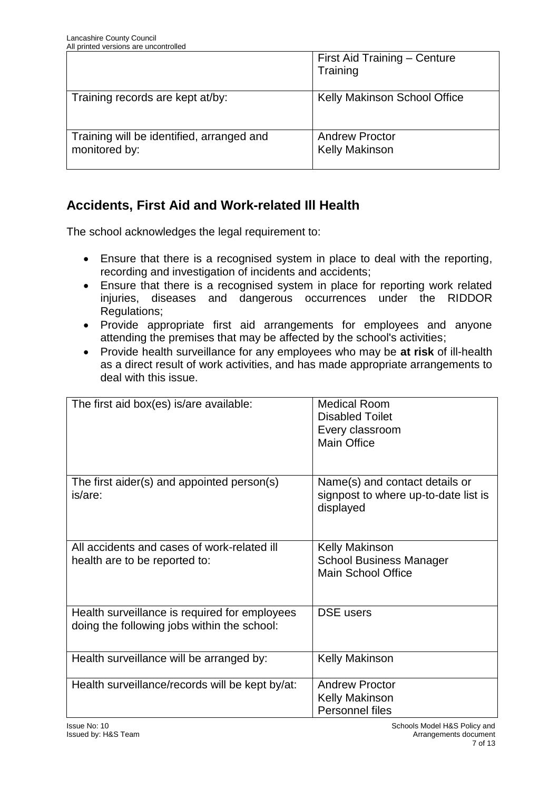|                                                            | First Aid Training - Centure<br>Training       |
|------------------------------------------------------------|------------------------------------------------|
| Training records are kept at/by:                           | Kelly Makinson School Office                   |
| Training will be identified, arranged and<br>monitored by: | <b>Andrew Proctor</b><br><b>Kelly Makinson</b> |

## **Accidents, First Aid and Work-related Ill Health**

The school acknowledges the legal requirement to:

- Ensure that there is a recognised system in place to deal with the reporting, recording and investigation of incidents and accidents;
- Ensure that there is a recognised system in place for reporting work related injuries, diseases and dangerous occurrences under the RIDDOR Regulations;
- Provide appropriate first aid arrangements for employees and anyone attending the premises that may be affected by the school's activities;
- Provide health surveillance for any employees who may be **at risk** of ill-health as a direct result of work activities, and has made appropriate arrangements to deal with this issue.

| The first aid box(es) is/are available:                                                      | <b>Medical Room</b><br><b>Disabled Toilet</b><br>Every classroom<br><b>Main Office</b> |
|----------------------------------------------------------------------------------------------|----------------------------------------------------------------------------------------|
| The first aider(s) and appointed person(s)<br>is/are:                                        | Name(s) and contact details or<br>signpost to where up-to-date list is<br>displayed    |
| All accidents and cases of work-related ill<br>health are to be reported to:                 | <b>Kelly Makinson</b><br><b>School Business Manager</b><br>Main School Office          |
| Health surveillance is required for employees<br>doing the following jobs within the school: | <b>DSE</b> users                                                                       |
| Health surveillance will be arranged by:                                                     | <b>Kelly Makinson</b>                                                                  |
| Health surveillance/records will be kept by/at:                                              | <b>Andrew Proctor</b><br><b>Kelly Makinson</b><br>Personnel files                      |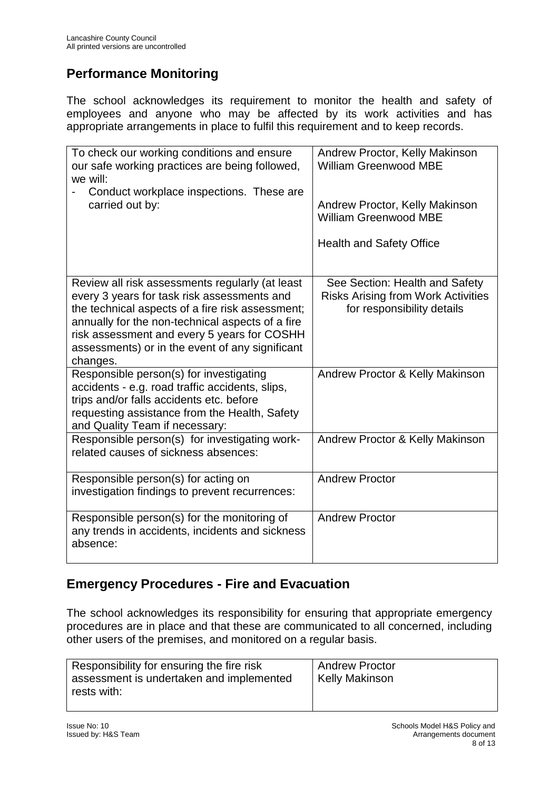### **Performance Monitoring**

The school acknowledges its requirement to monitor the health and safety of employees and anyone who may be affected by its work activities and has appropriate arrangements in place to fulfil this requirement and to keep records.

| To check our working conditions and ensure<br>our safe working practices are being followed,<br>we will:<br>Conduct workplace inspections. These are<br>carried out by:                                                                                                                                              | Andrew Proctor, Kelly Makinson<br><b>William Greenwood MBE</b><br>Andrew Proctor, Kelly Makinson<br><b>William Greenwood MBE</b><br><b>Health and Safety Office</b> |
|----------------------------------------------------------------------------------------------------------------------------------------------------------------------------------------------------------------------------------------------------------------------------------------------------------------------|---------------------------------------------------------------------------------------------------------------------------------------------------------------------|
| Review all risk assessments regularly (at least<br>every 3 years for task risk assessments and<br>the technical aspects of a fire risk assessment;<br>annually for the non-technical aspects of a fire<br>risk assessment and every 5 years for COSHH<br>assessments) or in the event of any significant<br>changes. | See Section: Health and Safety<br><b>Risks Arising from Work Activities</b><br>for responsibility details                                                           |
| Responsible person(s) for investigating<br>accidents - e.g. road traffic accidents, slips,<br>trips and/or falls accidents etc. before<br>requesting assistance from the Health, Safety<br>and Quality Team if necessary:                                                                                            | Andrew Proctor & Kelly Makinson                                                                                                                                     |
| Responsible person(s) for investigating work-<br>related causes of sickness absences:                                                                                                                                                                                                                                | Andrew Proctor & Kelly Makinson                                                                                                                                     |
| Responsible person(s) for acting on<br>investigation findings to prevent recurrences:                                                                                                                                                                                                                                | <b>Andrew Proctor</b>                                                                                                                                               |
| Responsible person(s) for the monitoring of<br>any trends in accidents, incidents and sickness<br>absence:                                                                                                                                                                                                           | <b>Andrew Proctor</b>                                                                                                                                               |

### **Emergency Procedures - Fire and Evacuation**

The school acknowledges its responsibility for ensuring that appropriate emergency procedures are in place and that these are communicated to all concerned, including other users of the premises, and monitored on a regular basis.

| Responsibility for ensuring the fire risk | <b>Andrew Proctor</b> |
|-------------------------------------------|-----------------------|
| assessment is undertaken and implemented  | Kelly Makinson        |
| rests with:                               |                       |
|                                           |                       |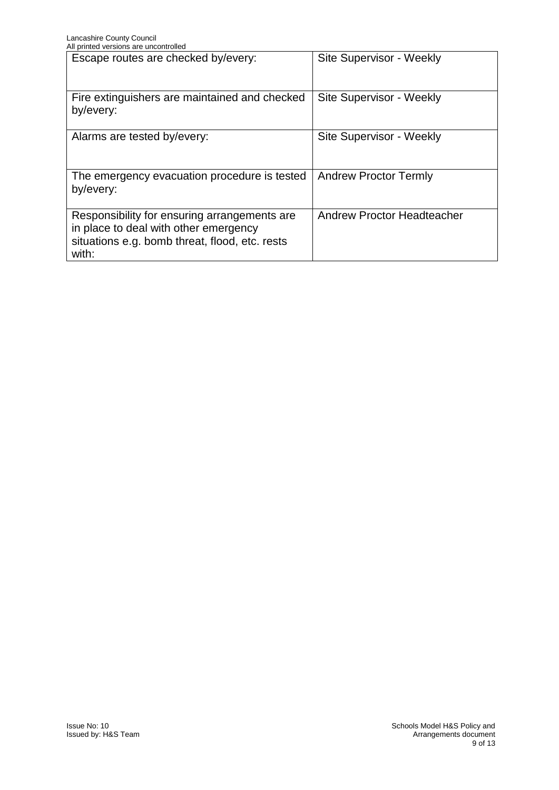| All printed versions are uncontrolled                                                                                                            |                                   |
|--------------------------------------------------------------------------------------------------------------------------------------------------|-----------------------------------|
| Escape routes are checked by/every:                                                                                                              | Site Supervisor - Weekly          |
| Fire extinguishers are maintained and checked<br>by/every:                                                                                       | Site Supervisor - Weekly          |
| Alarms are tested by/every:                                                                                                                      | Site Supervisor - Weekly          |
| The emergency evacuation procedure is tested<br>by/every:                                                                                        | <b>Andrew Proctor Termly</b>      |
| Responsibility for ensuring arrangements are<br>in place to deal with other emergency<br>situations e.g. bomb threat, flood, etc. rests<br>with: | <b>Andrew Proctor Headteacher</b> |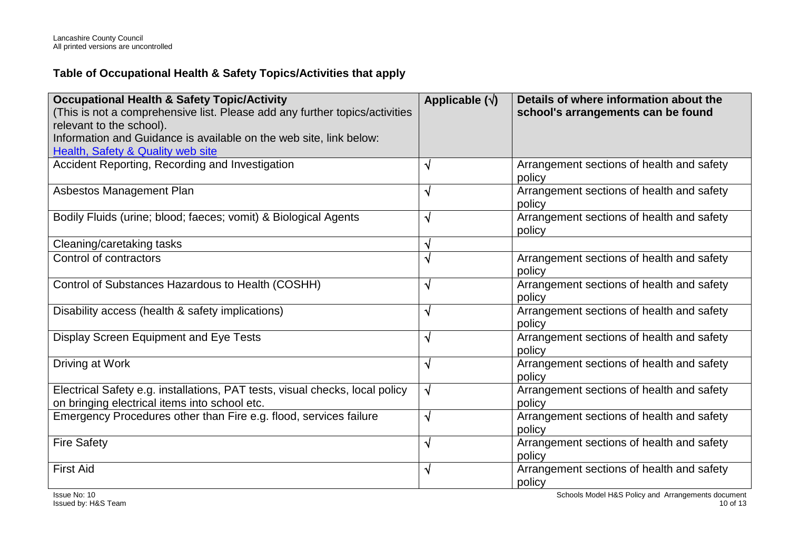### **Table of Occupational Health & Safety Topics/Activities that apply**

| <b>Occupational Health &amp; Safety Topic/Activity</b><br>(This is not a comprehensive list. Please add any further topics/activities<br>relevant to the school).<br>Information and Guidance is available on the web site, link below:<br>Health, Safety & Quality web site | Applicable $(\sqrt{})$ | Details of where information about the<br>school's arrangements can be found |
|------------------------------------------------------------------------------------------------------------------------------------------------------------------------------------------------------------------------------------------------------------------------------|------------------------|------------------------------------------------------------------------------|
| Accident Reporting, Recording and Investigation                                                                                                                                                                                                                              | √                      | Arrangement sections of health and safety<br>policy                          |
| Asbestos Management Plan                                                                                                                                                                                                                                                     | $\sqrt{}$              | Arrangement sections of health and safety<br>policy                          |
| Bodily Fluids (urine; blood; faeces; vomit) & Biological Agents                                                                                                                                                                                                              | $\sqrt{}$              | Arrangement sections of health and safety<br>policy                          |
| Cleaning/caretaking tasks                                                                                                                                                                                                                                                    | √                      |                                                                              |
| Control of contractors                                                                                                                                                                                                                                                       | $\sqrt{}$              | Arrangement sections of health and safety<br>policy                          |
| Control of Substances Hazardous to Health (COSHH)                                                                                                                                                                                                                            | $\sqrt{}$              | Arrangement sections of health and safety<br>policy                          |
| Disability access (health & safety implications)                                                                                                                                                                                                                             | $\sqrt{}$              | Arrangement sections of health and safety<br>policy                          |
| Display Screen Equipment and Eye Tests                                                                                                                                                                                                                                       | $\sqrt{}$              | Arrangement sections of health and safety<br>policy                          |
| Driving at Work                                                                                                                                                                                                                                                              | $\sqrt{}$              | Arrangement sections of health and safety<br>policy                          |
| Electrical Safety e.g. installations, PAT tests, visual checks, local policy<br>on bringing electrical items into school etc.                                                                                                                                                | $\sqrt{}$              | Arrangement sections of health and safety<br>policy                          |
| Emergency Procedures other than Fire e.g. flood, services failure                                                                                                                                                                                                            | $\sqrt{}$              | Arrangement sections of health and safety<br>policy                          |
| <b>Fire Safety</b>                                                                                                                                                                                                                                                           | $\sqrt{}$              | Arrangement sections of health and safety<br>policy                          |
| <b>First Aid</b>                                                                                                                                                                                                                                                             | $\sqrt{}$              | Arrangement sections of health and safety<br>policy                          |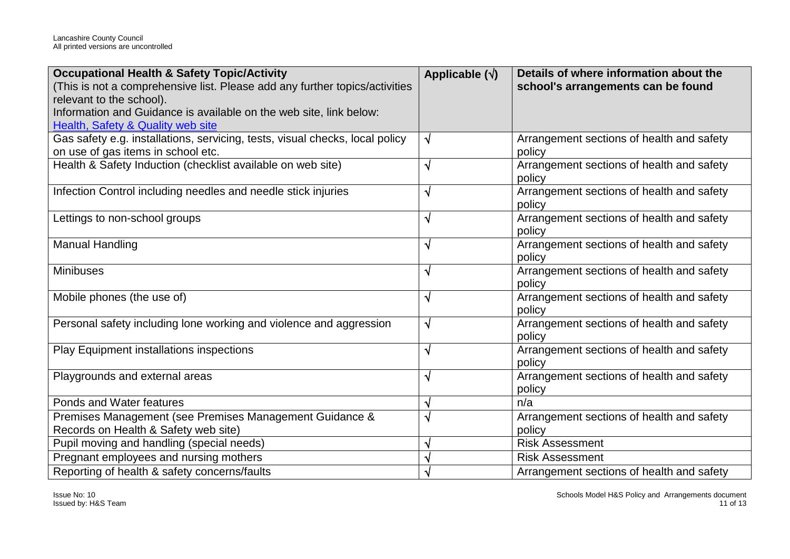| <b>Occupational Health &amp; Safety Topic/Activity</b>                       | Applicable $(\sqrt{})$ | Details of where information about the    |
|------------------------------------------------------------------------------|------------------------|-------------------------------------------|
| (This is not a comprehensive list. Please add any further topics/activities  |                        | school's arrangements can be found        |
| relevant to the school).                                                     |                        |                                           |
| Information and Guidance is available on the web site, link below:           |                        |                                           |
| Health, Safety & Quality web site                                            |                        |                                           |
| Gas safety e.g. installations, servicing, tests, visual checks, local policy | $\sqrt{ }$             | Arrangement sections of health and safety |
| on use of gas items in school etc.                                           |                        | policy                                    |
| Health & Safety Induction (checklist available on web site)                  | $\sqrt{ }$             | Arrangement sections of health and safety |
|                                                                              |                        | policy                                    |
| Infection Control including needles and needle stick injuries                | $\sqrt{ }$             | Arrangement sections of health and safety |
|                                                                              |                        | policy                                    |
| Lettings to non-school groups                                                | $\sqrt{ }$             | Arrangement sections of health and safety |
|                                                                              |                        | policy                                    |
| <b>Manual Handling</b>                                                       | $\sqrt{ }$             | Arrangement sections of health and safety |
|                                                                              |                        | policy                                    |
| <b>Minibuses</b>                                                             | $\sqrt{ }$             | Arrangement sections of health and safety |
|                                                                              |                        | policy                                    |
| Mobile phones (the use of)                                                   | $\sqrt{ }$             | Arrangement sections of health and safety |
|                                                                              |                        | policy                                    |
| Personal safety including lone working and violence and aggression           | $\sqrt{ }$             | Arrangement sections of health and safety |
|                                                                              |                        | policy                                    |
| Play Equipment installations inspections                                     | $\sqrt{ }$             | Arrangement sections of health and safety |
|                                                                              |                        | policy                                    |
| Playgrounds and external areas                                               | $\sqrt{ }$             | Arrangement sections of health and safety |
|                                                                              |                        | policy                                    |
| Ponds and Water features                                                     | $\sqrt{ }$             | n/a                                       |
| Premises Management (see Premises Management Guidance &                      | $\sqrt{ }$             | Arrangement sections of health and safety |
| Records on Health & Safety web site)                                         |                        | policy                                    |
| Pupil moving and handling (special needs)                                    | $\sqrt{ }$             | <b>Risk Assessment</b>                    |
| Pregnant employees and nursing mothers                                       | $\sqrt{}$              | <b>Risk Assessment</b>                    |
| Reporting of health & safety concerns/faults                                 | √                      | Arrangement sections of health and safety |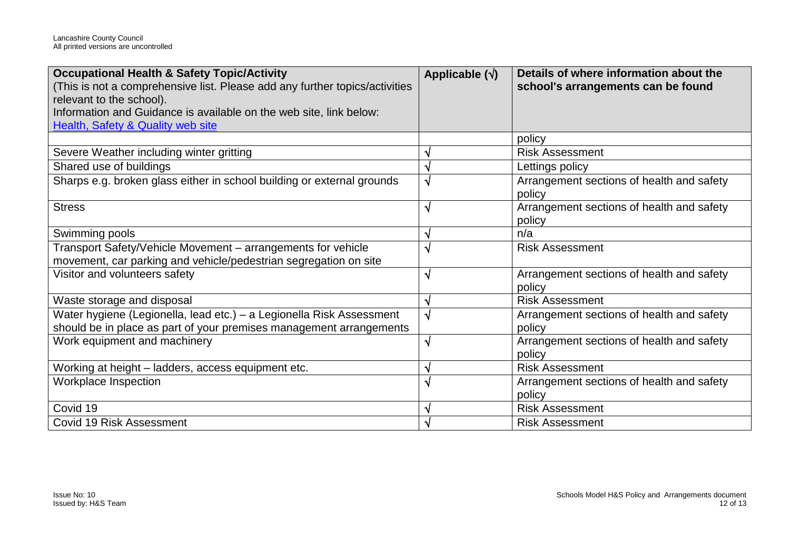| <b>Occupational Health &amp; Safety Topic/Activity</b><br>(This is not a comprehensive list. Please add any further topics/activities<br>relevant to the school).<br>Information and Guidance is available on the web site, link below: | Applicable $(\sqrt{})$ | Details of where information about the<br>school's arrangements can be found |
|-----------------------------------------------------------------------------------------------------------------------------------------------------------------------------------------------------------------------------------------|------------------------|------------------------------------------------------------------------------|
| Health, Safety & Quality web site                                                                                                                                                                                                       |                        | policy                                                                       |
| Severe Weather including winter gritting                                                                                                                                                                                                | N                      | <b>Risk Assessment</b>                                                       |
| Shared use of buildings                                                                                                                                                                                                                 | √                      | Lettings policy                                                              |
| Sharps e.g. broken glass either in school building or external grounds                                                                                                                                                                  | $\sqrt{ }$             | Arrangement sections of health and safety<br>policy                          |
| <b>Stress</b>                                                                                                                                                                                                                           | N                      | Arrangement sections of health and safety<br>policy                          |
| Swimming pools                                                                                                                                                                                                                          | $\sqrt{ }$             | n/a                                                                          |
| Transport Safety/Vehicle Movement - arrangements for vehicle<br>movement, car parking and vehicle/pedestrian segregation on site                                                                                                        | $\sqrt{ }$             | <b>Risk Assessment</b>                                                       |
| Visitor and volunteers safety                                                                                                                                                                                                           | $\sqrt{ }$             | Arrangement sections of health and safety<br>policy                          |
| Waste storage and disposal                                                                                                                                                                                                              | $\sqrt{ }$             | <b>Risk Assessment</b>                                                       |
| Water hygiene (Legionella, lead etc.) – a Legionella Risk Assessment<br>should be in place as part of your premises management arrangements                                                                                             | $\sqrt{ }$             | Arrangement sections of health and safety<br>policy                          |
| Work equipment and machinery                                                                                                                                                                                                            | $\sqrt{ }$             | Arrangement sections of health and safety<br>policy                          |
| Working at height - ladders, access equipment etc.                                                                                                                                                                                      | N                      | <b>Risk Assessment</b>                                                       |
| Workplace Inspection                                                                                                                                                                                                                    | $\sqrt{ }$             | Arrangement sections of health and safety<br>policy                          |
| Covid 19                                                                                                                                                                                                                                | N                      | <b>Risk Assessment</b>                                                       |
| <b>Covid 19 Risk Assessment</b>                                                                                                                                                                                                         | N                      | <b>Risk Assessment</b>                                                       |